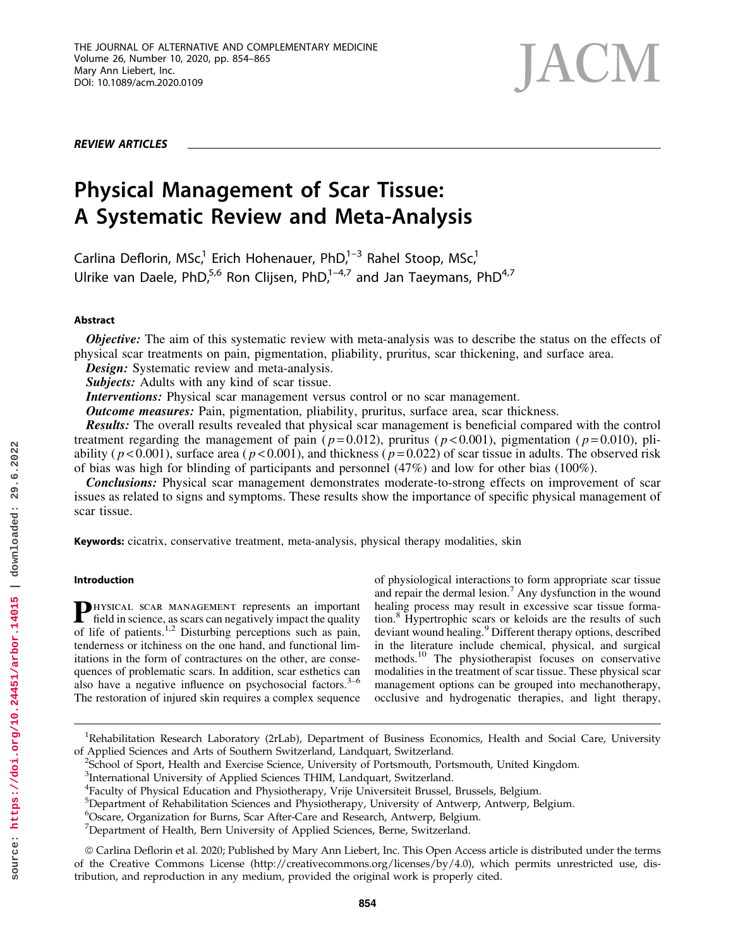REVIEW ARTICLES



# Physical Management of Scar Tissue: A Systematic Review and Meta-Analysis

Carlina Deflorin, MSc,<sup>1</sup> Erich Hohenauer, PhD, $1-3$  Rahel Stoop, MSc,<sup>1</sup> Ulrike van Daele, PhD,<sup>5,6</sup> Ron Clijsen, PhD,<sup>1–4,7</sup> and Jan Taeymans, PhD<sup>4,7</sup>

# Abstract

**Objective:** The aim of this systematic review with meta-analysis was to describe the status on the effects of physical scar treatments on pain, pigmentation, pliability, pruritus, scar thickening, and surface area.

Design: Systematic review and meta-analysis.

Subjects: Adults with any kind of scar tissue.

Interventions: Physical scar management versus control or no scar management.

**Outcome measures:** Pain, pigmentation, pliability, pruritus, surface area, scar thickness.

Results: The overall results revealed that physical scar management is beneficial compared with the control treatment regarding the management of pain ( $p=0.012$ ), pruritus ( $p<0.001$ ), pigmentation ( $p=0.010$ ), pliability ( $p < 0.001$ ), surface area ( $p < 0.001$ ), and thickness ( $p = 0.022$ ) of scar tissue in adults. The observed risk of bias was high for blinding of participants and personnel (47%) and low for other bias (100%).

**Conclusions:** Physical scar management demonstrates moderate-to-strong effects on improvement of scar issues as related to signs and symptoms. These results show the importance of specific physical management of scar tissue.

Keywords: cicatrix, conservative treatment, meta-analysis, physical therapy modalities, skin

# Introduction

PHYSICAL SCAR MANAGEMENT represents an important field in science, as scars can negatively impact the quality of life of patients.<sup>1,2</sup> Disturbing perceptions such as pain, tenderness or itchiness on the one hand, and functional limitations in the form of contractures on the other, are consequences of problematic scars. In addition, scar esthetics can also have a negative influence on psychosocial factors. $3-6$ The restoration of injured skin requires a complex sequence of physiological interactions to form appropriate scar tissue and repair the dermal lesion.<sup>7</sup> Any dysfunction in the wound healing process may result in excessive scar tissue formation.<sup>8</sup> Hypertrophic scars or keloids are the results of such deviant wound healing.<sup>9</sup> Different therapy options, described in the literature include chemical, physical, and surgical methods.<sup>10</sup> The physiotherapist focuses on conservative modalities in the treatment of scar tissue. These physical scar management options can be grouped into mechanotherapy, occlusive and hydrogenatic therapies, and light therapy,

<sup>&</sup>lt;sup>1</sup>Rehabilitation Research Laboratory (2rLab), Department of Business Economics, Health and Social Care, University of Applied Sciences and Arts of Southern Switzerland, Landquart, Switzerland. <sup>2</sup>

<sup>&</sup>lt;sup>2</sup>School of Sport, Health and Exercise Science, University of Portsmouth, Portsmouth, United Kingdom.

<sup>&</sup>lt;sup>3</sup>International University of Applied Sciences THIM, Landquart, Switzerland.

<sup>4</sup> Faculty of Physical Education and Physiotherapy, Vrije Universiteit Brussel, Brussels, Belgium.

<sup>&</sup>lt;sup>5</sup>Department of Rehabilitation Sciences and Physiotherapy, University of Antwerp, Antwerp, Belgium.

<sup>6</sup> Oscare, Organization for Burns, Scar After-Care and Research, Antwerp, Belgium.

<sup>&</sup>lt;sup>7</sup>Department of Health, Bern University of Applied Sciences, Berne, Switzerland.

ª Carlina Deflorin et al. 2020; Published by Mary Ann Liebert, Inc. This Open Access article is distributed under the terms of the Creative Commons License [\(http://creativecommons.org/licenses/by/4.0](http://creativecommons.org/licenses/by/4.0)), which permits unrestricted use, distribution, and reproduction in any medium, provided the original work is properly cited.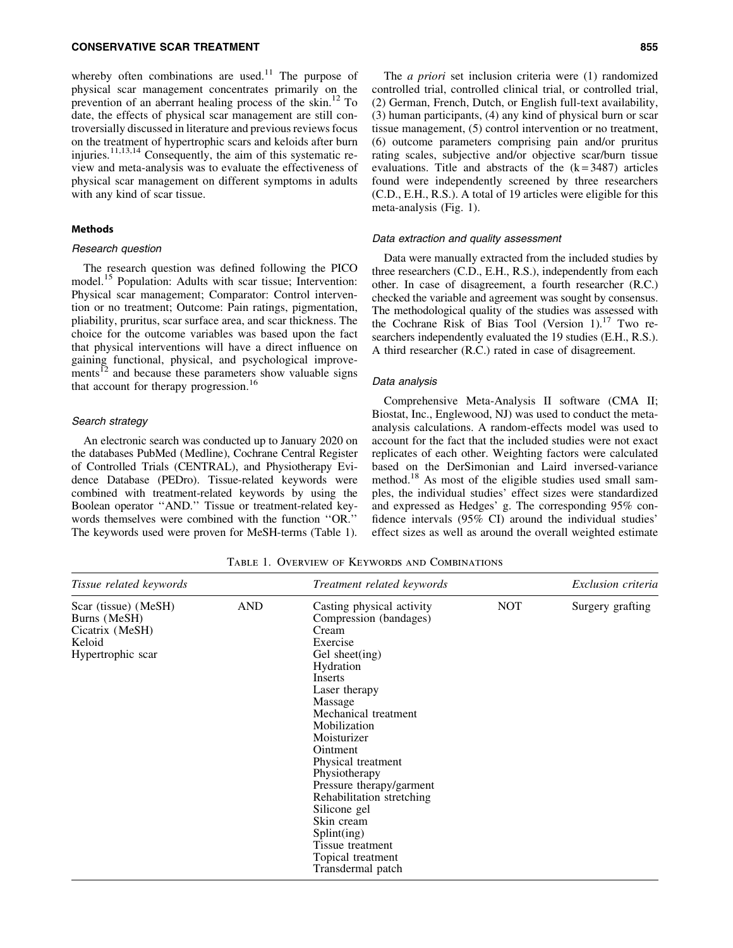# CONSERVATIVE SCAR TREATMENT 855

whereby often combinations are used.<sup>11</sup> The purpose of physical scar management concentrates primarily on the prevention of an aberrant healing process of the skin. $^{12}$  To date, the effects of physical scar management are still controversially discussed in literature and previous reviews focus on the treatment of hypertrophic scars and keloids after burn injuries.<sup>11,13,14</sup> Consequently, the aim of this systematic review and meta-analysis was to evaluate the effectiveness of physical scar management on different symptoms in adults with any kind of scar tissue.

# **Methods**

# Research question

The research question was defined following the PICO model.<sup>15</sup> Population: Adults with scar tissue; Intervention: Physical scar management; Comparator: Control intervention or no treatment; Outcome: Pain ratings, pigmentation, pliability, pruritus, scar surface area, and scar thickness. The choice for the outcome variables was based upon the fact that physical interventions will have a direct influence on gaining functional, physical, and psychological improvements $^{12}$  and because these parameters show valuable signs that account for therapy progression.<sup>16</sup>

# Search strategy

An electronic search was conducted up to January 2020 on the databases PubMed (Medline), Cochrane Central Register of Controlled Trials (CENTRAL), and Physiotherapy Evidence Database (PEDro). Tissue-related keywords were combined with treatment-related keywords by using the Boolean operator ''AND.'' Tissue or treatment-related keywords themselves were combined with the function ''OR.'' The keywords used were proven for MeSH-terms (Table 1).

The *a priori* set inclusion criteria were (1) randomized controlled trial, controlled clinical trial, or controlled trial, (2) German, French, Dutch, or English full-text availability, (3) human participants, (4) any kind of physical burn or scar tissue management, (5) control intervention or no treatment, (6) outcome parameters comprising pain and/or pruritus rating scales, subjective and/or objective scar/burn tissue evaluations. Title and abstracts of the  $(k = 3487)$  articles found were independently screened by three researchers (C.D., E.H., R.S.). A total of 19 articles were eligible for this meta-analysis (Fig. 1).

# Data extraction and quality assessment

Data were manually extracted from the included studies by three researchers (C.D., E.H., R.S.), independently from each other. In case of disagreement, a fourth researcher (R.C.) checked the variable and agreement was sought by consensus. The methodological quality of the studies was assessed with the Cochrane Risk of Bias Tool (Version 1).<sup>17</sup> Two researchers independently evaluated the 19 studies (E.H., R.S.). A third researcher (R.C.) rated in case of disagreement.

#### Data analysis

Comprehensive Meta-Analysis II software (CMA II; Biostat, Inc., Englewood, NJ) was used to conduct the metaanalysis calculations. A random-effects model was used to account for the fact that the included studies were not exact replicates of each other. Weighting factors were calculated based on the DerSimonian and Laird inversed-variance method.<sup>18</sup> As most of the eligible studies used small samples, the individual studies' effect sizes were standardized and expressed as Hedges' g. The corresponding 95% confidence intervals (95% CI) around the individual studies' effect sizes as well as around the overall weighted estimate

Table 1. Overview of Keywords and Combinations

| Tissue related keywords                                                                |            | Treatment related keywords                                                                                                                                                                                                                                                                                                                                                                                                   |            | Exclusion criteria |
|----------------------------------------------------------------------------------------|------------|------------------------------------------------------------------------------------------------------------------------------------------------------------------------------------------------------------------------------------------------------------------------------------------------------------------------------------------------------------------------------------------------------------------------------|------------|--------------------|
| Scar (tissue) (MeSH)<br>Burns (MeSH)<br>Cicatrix (MeSH)<br>Keloid<br>Hypertrophic scar | <b>AND</b> | Casting physical activity<br>Compression (bandages)<br>Cream<br>Exercise<br>Gel sheet(ing)<br>Hydration<br>Inserts<br>Laser therapy<br>Massage<br>Mechanical treatment<br>Mobilization<br>Moisturizer<br>Ointment<br>Physical treatment<br>Physiotherapy<br>Pressure therapy/garment<br>Rehabilitation stretching<br>Silicone gel<br>Skin cream<br>Splint(ing)<br>Tissue treatment<br>Topical treatment<br>Transdermal patch | <b>NOT</b> | Surgery grafting   |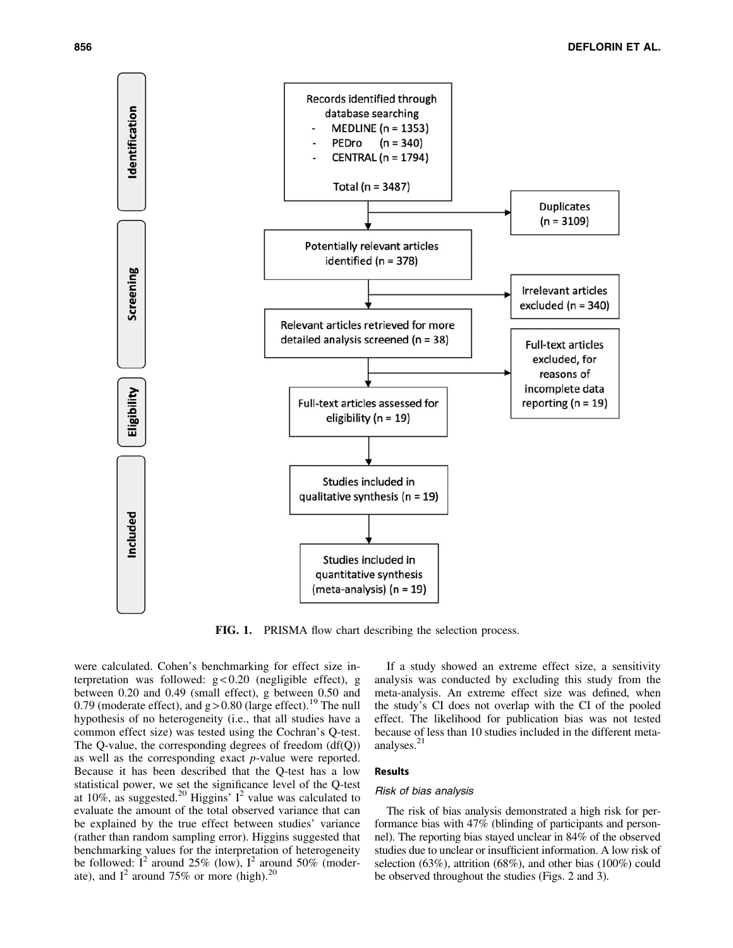

FIG. 1. PRISMA flow chart describing the selection process.

were calculated. Cohen's benchmarking for effect size interpretation was followed:  $g < 0.20$  (negligible effect), g between 0.20 and 0.49 (small effect), g between 0.50 and 0.79 (moderate effect), and  $g > 0.80$  (large effect).<sup>19</sup> The null hypothesis of no heterogeneity (i.e., that all studies have a common effect size) was tested using the Cochran's Q-test. The Q-value, the corresponding degrees of freedom  $(df(Q))$ as well as the corresponding exact *p*-value were reported. Because it has been described that the Q-test has a low statistical power, we set the significance level of the Q-test at 10%, as suggested.<sup>20</sup> Higgins'  $I^2$  value was calculated to evaluate the amount of the total observed variance that can be explained by the true effect between studies' variance (rather than random sampling error). Higgins suggested that benchmarking values for the interpretation of heterogeneity be followed:  $I^2$  around 25% (low),  $I^2$  around 50% (moderate), and  $I^2$  around 75% or more (high).<sup>20</sup>

If a study showed an extreme effect size, a sensitivity analysis was conducted by excluding this study from the meta-analysis. An extreme effect size was defined, when the study's CI does not overlap with the CI of the pooled effect. The likelihood for publication bias was not tested because of less than 10 studies included in the different metaanalyses.<sup>21</sup>

#### Results

#### Risk of bias analysis

The risk of bias analysis demonstrated a high risk for performance bias with 47% (blinding of participants and personnel). The reporting bias stayed unclear in 84% of the observed studies due to unclear or insufficient information. A low risk of selection (63%), attrition (68%), and other bias (100%) could be observed throughout the studies (Figs. 2 and 3).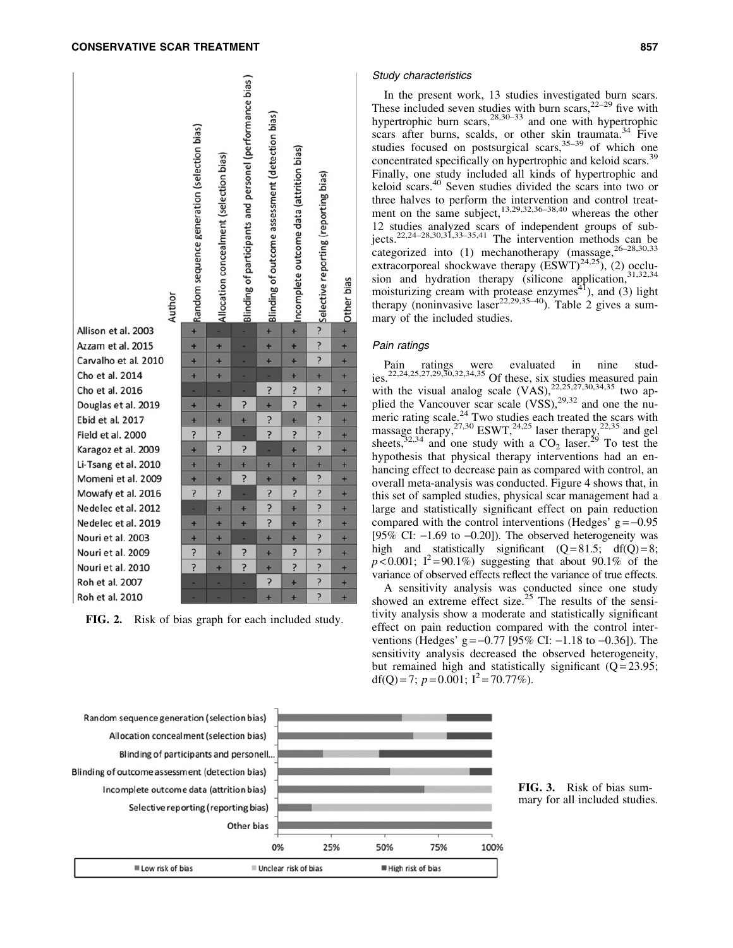

FIG. 2. Risk of bias graph for each included study.

#### Study characteristics

In the present work, 13 studies investigated burn scars. These included seven studies with burn scars,  $2^{2-29}$  five with hypertrophic burn scars,  $28,30-33$  and one with hypertrophic scars after burns, scalds, or other skin traumata.<sup>34</sup> Five studies focused on postsurgical scars,  $35-39$  of which one concentrated specifically on hypertrophic and keloid scars.<sup>39</sup> Finally, one study included all kinds of hypertrophic and keloid scars.40 Seven studies divided the scars into two or three halves to perform the intervention and control treatment on the same subject, $13,29,32,36-38,40$  whereas the other 12 studies analyzed scars of independent groups of subjects.<sup>22,24–28,30,31,33–35,41</sup> The intervention methods can be categorized into  $(1)$  mechanotherapy (massage,  $26-28,30,33$ ) extracorporeal shockwave therapy  $(\text{ESWT})^{24,25}$ , (2) occlusion and hydration therapy (silicone application, 31,32,34 moisturizing cream with protease enzymes<sup>41</sup>), and (3) light therapy (noninvasive laser<sup>22,29,35-40</sup>). Table 2 gives a summary of the included studies.

# Pain ratings

Pain ratings were evaluated in nine studies.<sup>22,24,25,27,29,30,32,34,35</sup> Of these, six studies measured pain with the visual analog scale  $(VAS)$ ,  $^{22,25,27,30,34,35}$  two applied the Vancouver scar scale  $(VSS)$ ,<sup>29,32</sup> and one the numeric rating scale.<sup>24</sup> Two studies each treated the scars with massage therapy,  $27,30$  ESWT,  $24,25$  laser therapy,  $22,35$  and gel sheets,  $32,34$  and one study with a CO<sub>2</sub> laser. <sup>29</sup> To test the hypothesis that physical therapy interventions had an enhancing effect to decrease pain as compared with control, an overall meta-analysis was conducted. Figure 4 shows that, in this set of sampled studies, physical scar management had a large and statistically significant effect on pain reduction compared with the control interventions (Hedges'  $g = -0.95$ ) [95% CI:  $-1.69$  to  $-0.20$ ]). The observed heterogeneity was high and statistically significant  $(Q=81.5; df(Q)=8;$  $p \le 0.001$ ; I<sup>2</sup>=90.1%) suggesting that about 90.1% of the variance of observed effects reflect the variance of true effects.

A sensitivity analysis was conducted since one study showed an extreme effect size.<sup>25</sup> The results of the sensitivity analysis show a moderate and statistically significant effect on pain reduction compared with the control interventions (Hedges' g =  $-0.77$  [95% CI:  $-1.18$  to  $-0.36$ ]). The sensitivity analysis decreased the observed heterogeneity, but remained high and statistically significant  $(Q=23.95)$ ; df(O) = 7;  $p = 0.001$ ;  $I^2 = 70.77\%$ ).

Random sequence generation (selection bias) Allocation concealment (selection bias) Blinding of participants and personell. Blinding of outcome assessment (detection bias) Incomplete outcome data (attrition bias) Selective reporting (reporting bias) Other bias 0%

Low risk of bias

25%

Unclear risk of bias

50%

High risk of bias

75%

100%

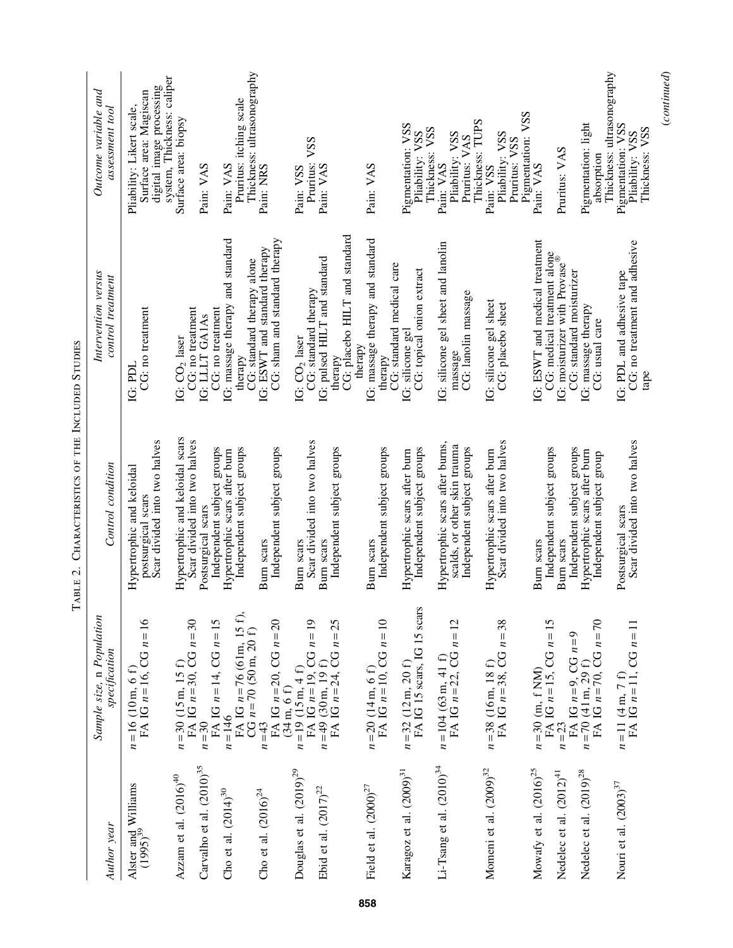|                                                     | Outcome variable and<br>assessment tool    | digital image processing<br>Surface area: Magiscan<br>Pliability: Likert scale, | system, Thickness: caliper<br>Pruritus: itching scale<br>Surface area: biopsy<br>Pain: VAS<br>Pain: VAS                                                                            | Thickness: ultrasonography<br>Pain: NRS                                                            | VSS<br>Pruritus:<br>Pain: VAS<br>Pain: VSS                                                                                         | Pain: VAS                                              | Pigmentation: VSS<br>Thickness: VSS<br>Pliability: VSS                     | Thickness: TUPS<br>Pliability: VSS<br>Pruritus: VAS<br>Pain: VAS                              | Pigmentation: VSS<br>Pliability: VSS<br>Pruritus: VSS<br>Pain: VSS | Pigmentation: light<br>Pruritus: VAS<br>absorption<br>Pain: VAS                                                                                                     | Thickness: ultrasonography<br>Pigmentation: VSS<br>Thickness: VSS<br>Pliability: VSS |
|-----------------------------------------------------|--------------------------------------------|---------------------------------------------------------------------------------|------------------------------------------------------------------------------------------------------------------------------------------------------------------------------------|----------------------------------------------------------------------------------------------------|------------------------------------------------------------------------------------------------------------------------------------|--------------------------------------------------------|----------------------------------------------------------------------------|-----------------------------------------------------------------------------------------------|--------------------------------------------------------------------|---------------------------------------------------------------------------------------------------------------------------------------------------------------------|--------------------------------------------------------------------------------------|
|                                                     | Intervention versus<br>control treatment   | CG: no treatment<br>IG: PDL                                                     | IG: massage therapy and standard<br>CG: no treatment<br>CG: no treatment<br>IG: LLLT GA1As<br>IG: CO <sub>2</sub> laser<br>therapy                                                 | CG: sham and standard therapy<br>IG: ESWT and standard therapy<br>CG: standard therapy alone       | CG: placebo HILT and standard<br>IG: pulsed HILT and standard<br>CG: standard therapy<br>IG: CO <sub>2</sub> laser<br>therapy      | IG: massage therapy and standard<br>therapy<br>therapy | CG: standard medical care<br>CG: topical onion extract<br>IG: silicone gel | IG: silicone gel sheet and lanolin<br>CG: lanolin massage<br>massage                          | IG: silicone gel sheet<br>CG: placebo sheet                        | IG: ESWT and medical treatment<br>CG: medical treatment alone<br>IG: moisturizer with Provase®<br>CG: standard moisturizer<br>IG: massage therapy<br>CG: usual care | CG: no treatment and adhesive<br>IG: PDL and adhesive tape<br>tape                   |
| CHARACTERISTICS OF THE INCLUDED STUDIES<br>TABLE 2. | Control condition                          | Scar divided into two halves<br>Hypertrophic and keloidal<br>postsurgical scars | Hypertrophic and keloidal scars<br>Scar divided into two halves<br>Independent subject groups<br>Independent subject groups<br>Hypertrophic scars after burn<br>Postsurgical scars | Independent subject groups<br>Burn scars                                                           | Scar divided into two halves<br>Independent subject groups<br>Burn scars<br>Burn scars                                             | Independent subject groups<br>Burn scars               | Independent subject groups<br>Hypertrophic scars after burn                | Hypertrophic scars after burns,<br>scalds, or other skin trauma<br>Independent subject groups | Scar divided into two halves<br>Hypertrophic scars after burn      | Independent subject groups<br>Independent subject groups<br>Hypertrophic scars after burn<br>Independent subject group<br>Burn scars<br>Burn scars                  | Scar divided into two halves<br>Postsurgical scars                                   |
|                                                     | Sample size, n Population<br>specification | $n=16(10 \text{ m}, 6 \text{ f})$<br>FA IG $n=16$ , CG $n=16$                   | $n=30$ (15 m, 15 f)<br>FA IG $n=30$ , CG $n=30$<br>FA IG $n = 14$ , CG $n = 15$<br>$n = 146$<br>$n=30$                                                                             | FA IG $n = 76$ (61m, 15 f),<br>CG $n = 70$ (50m, 20 f)<br>FA IG $n = 20$ , CG $n = 20$<br>$n = 43$ | $n=19$ (15 m, 4 f)<br>FA IG $n=19$ , CG $n=19$<br>$n=49$ (30 m, 19 f)<br>FA IG $n=24$ , CG $n=25$<br>$(34 \text{ m}, 6 \text{ f})$ | $n=20$ (14 m, 6 f)<br>FA IG $n=10$ , CG $n=10$         | $n=32$ (12 m, 20 f)<br>FA IG 15 scars, IG 15 scars                         | $n=104$ (63 m, 41 f)<br>FA IG $n=22$ , CG $n=12$                                              | $n=38$ (16 m, 18 f)<br>FA IG $n=38$ , CG $n=38$                    | FA IG $n=15$ , CG $n=15$<br>$n=23$<br>FA IG $n=9$ , CG $n=9$<br>$n=70$ (41 m, 29 f)<br>FA IG $n=70$ , CG $n=70$<br>$n = 30$ (m, f NM)                               | $n=11$ (4 m, 7 f)<br>FA IG $n=11$ , CG $n=11$                                        |
|                                                     | Author year                                | Alster and Williams<br>(1995) <sup>39</sup>                                     | Carvalho et al. $(2010)^{35}$<br>Azzam et al. $(2016)^{40}$<br>Cho et al. $(2014)^{30}$                                                                                            | Cho et al. $(2016)^{24}$                                                                           | Douglas et al. $(2019)^{29}$<br>Ebid et al. $(2017)^{22}$                                                                          | Field et al. $(2000)^{27}$                             | Karagoz et al. (2009) <sup>31</sup>                                        | Li-Tsang et al. $(2010)^{34}$                                                                 | Momeni et al. $(2009)^{32}$                                        | Mowafy et al. $(2016)^{25}$<br>Nedelec et al. $(2019)^{28}$<br>Nedelec et al. $(2012)^{41}$                                                                         | Nouri et al. $(2003)^{37}$                                                           |

| ı                                 |
|-----------------------------------|
| ;<br>;                            |
| <br> <br> <br>i<br>֚              |
| ・ りく こくしにいい<br>$\frac{1}{2}$<br>l |
| İ                                 |
| I                                 |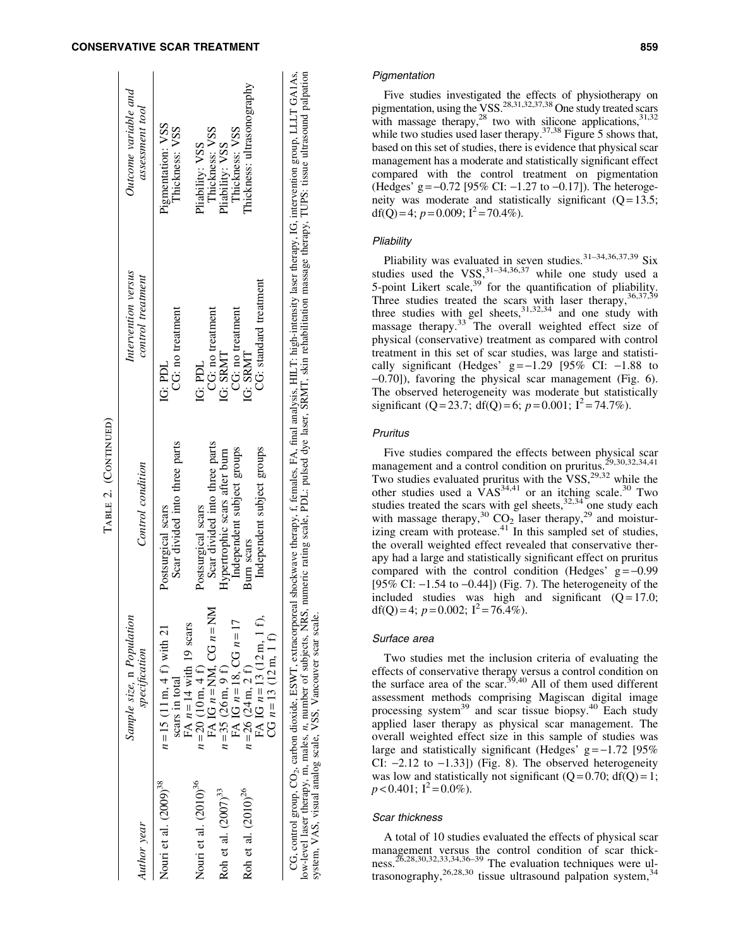# CONSERVATIVE SCAR TREATMENT 859

|                                   |                                                                                                                                | Table 2. (Continued)                                                                                                                                                                                                                                                                                                              |                                          |                                         |
|-----------------------------------|--------------------------------------------------------------------------------------------------------------------------------|-----------------------------------------------------------------------------------------------------------------------------------------------------------------------------------------------------------------------------------------------------------------------------------------------------------------------------------|------------------------------------------|-----------------------------------------|
| Author year                       | Sample size, n Population<br>specification                                                                                     | Control condition                                                                                                                                                                                                                                                                                                                 | Intervention versus<br>control treatment | Outcome variable and<br>assessment tool |
| Nouri et al. (2009) <sup>38</sup> | FA $n = 14$ with 19 scars<br>$n = 15$ (11 m, 4 f) with 21<br>scars in total                                                    | Scar divided into three parts<br>Postsurgical scars                                                                                                                                                                                                                                                                               | CG: no treatment<br>IG: PDL              | Pigmentation: VSS<br>Thickness: VSS     |
| Nouri et al. (2010) <sup>36</sup> | FA IG $n = NM$ , CG $n = NM$<br>$n = 20$ (10 m, 4 f)                                                                           | Scar divided into three parts<br>Postsurgical scars                                                                                                                                                                                                                                                                               | IG: PDL                                  | Thickness: VSS<br>Pliability: VSS       |
| Roh et al. $(2007)^{33}$          | FA IG $n = 18$ , CG $n = 17$<br>$n=35(26 \text{ m}, 9 \text{ f})$                                                              | Hypertrophic scars after burn                                                                                                                                                                                                                                                                                                     | CG: no treatment<br>IG: SRMT             | Thickness: VSS<br>Pliability: VSS       |
| Roh et al. (2010) <sup>26</sup>   | $n=26$ (24 m, 2 f)                                                                                                             | Independent subject groups<br>Burn scars                                                                                                                                                                                                                                                                                          | CG: no treatment<br>IG: SRMT             | Thickness: ultrasonography              |
|                                   | FA IG $n = 13$ (12 m, 1 f),<br>CG $n=13$ (12 m, 1 f)                                                                           | Independent subject groups                                                                                                                                                                                                                                                                                                        | CG: standard treatment                   |                                         |
|                                   | low-level laser therapy, m, males, n, number of subjects, NRS,<br>system, VAS, visual analog scale, VSS, Vancouver scar scale. | numeric rating scale, PDL: pulsed dye laser, SRMT, skin rehabilitation massage therapy, TUPS: tissue ultrasound palpation<br>CG, control group, CO <sub>2</sub> , carbon dioxide, ESWT, extracorporeal shockwave therapy, f, females, FA, final analysis, HILT: high-intensity laser therapy, IG, intervention group, LLLT GA1As, |                                          |                                         |

TABLE 2. (CONTINUED)

Five studies investigated the effects of physiotherapy on pigmentation, using the VSS.<sup>28,31,32,37,38</sup> One study treated scars with massage therapy, $^{28}$  two with silicone applications,  $^{31,32}$ while two studies used laser therapy.<sup>37,38</sup> Figure 5 shows that, based on this set of studies, there is evidence that physical scar management has a moderate and statistically significant effect compared with the control treatment on pigmentation (Hedges' g =  $-0.72$  [95% CI:  $-1.27$  to  $-0.17$ ]). The heterogeneity was moderate and statistically significant  $(Q=13.5;$ df(Q) = 4;  $p = 0.009$ ;  $I^2 = 70.4\%$ ).

# **Pliability**

Pliability was evaluated in seven studies.  $31-34,36,37,39$  Six studies used the VSS,  $31-34,36,37$  while one study used a 5-point Likert scale,  $39$  for the quantification of pliability. Three studies treated the scars with laser therapy,  $36,37,39$ three studies with gel sheets,  $31,32,34$  and one study with massage therapy.<sup>33</sup> The overall weighted effect size of physical (conservative) treatment as compared with control treatment in this set of scar studies, was large and statistically significant (Hedges'  $g = -1.29$  [95% CI:  $-1.88$  to -0.70]), favoring the physical scar management (Fig. 6). The observed heterogeneity was moderate but statistically significant (Q = 23.7; df(Q) = 6;  $p = 0.001$ ;  $I^2 = 74.7\%$ ).

# Pruritus

Five studies compared the effects between physical scar management and a control condition on pruritus.29,30,32,34,41 Two studies evaluated pruritus with the  $VSS$ ,  $^{29,32}$  while the other studies used a  $\overline{V}AS^{34,41}$  or an itching scale.<sup>30</sup> Two studies treated the scars with gel sheets, $32,34$  one study each with massage therapy,<sup>30</sup> CO<sub>2</sub> laser therapy,<sup>29</sup> and moistur $i$ zing cream with protease.<sup>41</sup> In this sampled set of studies, the overall weighted effect revealed that conservative therapy had a large and statistically significant effect on pruritus compared with the control condition (Hedges'  $g = -0.99$ ) [95% CI:  $-1.54$  to  $-0.44$ ]) (Fig. 7). The heterogeneity of the included studies was high and significant  $(Q=17.0;$ df(Q) = 4;  $p = 0.002$ ;  $I^2 = 76.4\%$ ).

# Surface area

Two studies met the inclusion criteria of evaluating the effects of conservative therapy versus a control condition on the surface area of the scar.<sup>35,40</sup> All of them used different assessment methods comprising Magiscan digital image processing system<sup>39</sup> and scar tissue biopsy.<sup>40</sup> Each study applied laser therapy as physical scar management. The overall weighted effect size in this sample of studies was large and statistically significant (Hedges'  $g = -1.72$  [95% CI:  $-2.12$  to  $-1.33$ ]) (Fig. 8). The observed heterogeneity was low and statistically not significant  $(Q=0.70; df(Q)=1;$  $p < 0.401$ ; I<sup>2</sup> = 0.0%).

#### Scar thickness

A total of 10 studies evaluated the effects of physical scar management versus the control condition of scar thickmanagement versus increment condition to  $26,28,30,32,33,34,36-39$  The evaluation techniques were  $\frac{11}{34}$ trasonography,<sup>26,28,30</sup> tissue ultrasound palpation system,<sup>34</sup>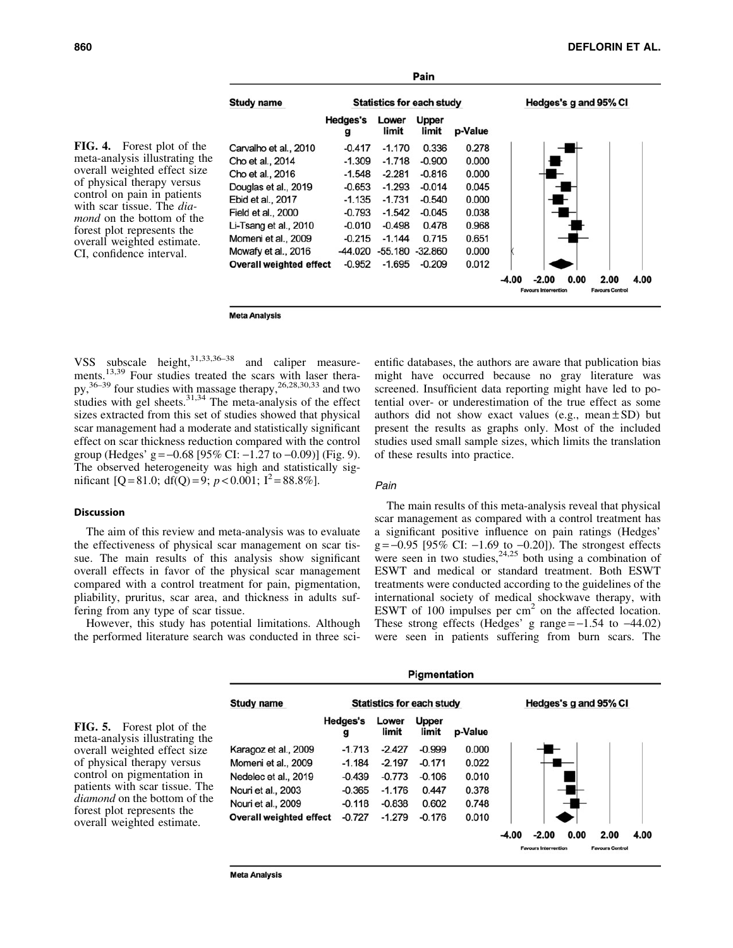

FIG. 4. Forest plot of the meta-analysis illustrating the overall weighted effect size of physical therapy versus control on pain in patients with scar tissue. The *diamond* on the bottom of the forest plot represents the overall weighted estimate. CI, confidence interval.

**Meta Analysis** 

VSS subscale height, $31,33,36-38$  and caliper measurements.<sup>13,39</sup> Four studies treated the scars with laser thera $py$ ,<sup>36–39</sup> four studies with massage therapy,<sup>26,28,30,33</sup> and two studies with gel sheets. $31,34$  The meta-analysis of the effect sizes extracted from this set of studies showed that physical scar management had a moderate and statistically significant effect on scar thickness reduction compared with the control group (Hedges' g =  $-0.68$  [95% CI:  $-1.27$  to  $-0.09$ )] (Fig. 9). The observed heterogeneity was high and statistically significant  $[Q = 81.0; df(Q) = 9; p < 0.001; I^2 = 88.8\%].$ 

# Discussion

of physical therapy versus control on pigmentation in

forest plot represents the overall weighted estimate.

The aim of this review and meta-analysis was to evaluate the effectiveness of physical scar management on scar tissue. The main results of this analysis show significant overall effects in favor of the physical scar management compared with a control treatment for pain, pigmentation, pliability, pruritus, scar area, and thickness in adults suffering from any type of scar tissue.

However, this study has potential limitations. Although the performed literature search was conducted in three scientific databases, the authors are aware that publication bias might have occurred because no gray literature was screened. Insufficient data reporting might have led to potential over- or underestimation of the true effect as some authors did not show exact values (e.g., mean  $\pm$  SD) but present the results as graphs only. Most of the included studies used small sample sizes, which limits the translation of these results into practice.

# Pain

The main results of this meta-analysis reveal that physical scar management as compared with a control treatment has a significant positive influence on pain ratings (Hedges'  $g = -0.95$  [95% CI:  $-1.69$  to  $-0.20$ ]). The strongest effects were seen in two studies,  $24,25$  both using a combination of ESWT and medical or standard treatment. Both ESWT treatments were conducted according to the guidelines of the international society of medical shockwave therapy, with ESWT of 100 impulses per  $cm<sup>2</sup>$  on the affected location. These strong effects (Hedges' g range  $=-1.54$  to  $-44.02$ ) were seen in patients suffering from burn scars. The



**Meta Analysis**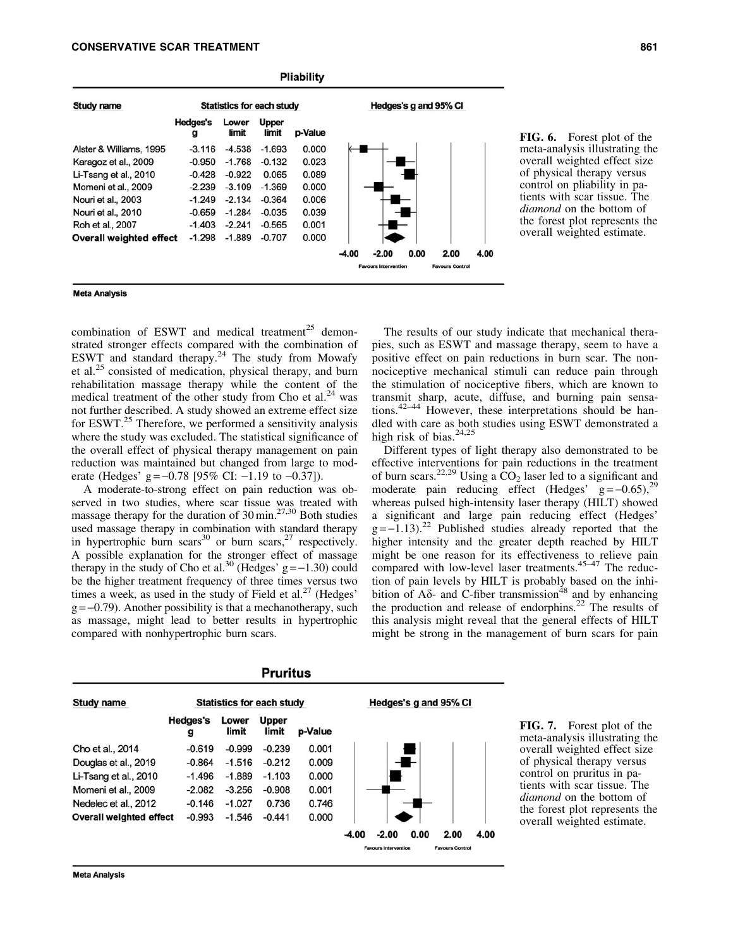|                                |                      |                                  |                       | <b>Pliability</b> |         |                             |      |                        |      |
|--------------------------------|----------------------|----------------------------------|-----------------------|-------------------|---------|-----------------------------|------|------------------------|------|
| Study name                     |                      | <b>Statistics for each study</b> |                       |                   |         |                             |      | Hedges's g and 95% CI  |      |
|                                | <b>Hedges's</b><br>g | Lower<br>limit                   | <b>Upper</b><br>limit | p-Value           |         |                             |      |                        |      |
| Alster & Williams, 1995        | $-3.116$             | $-4.538$                         | $-1.693$              | 0.000             |         |                             |      |                        |      |
| Karagoz et al., 2009           | $-0.950$             | $-1.768$                         | $-0.132$              | 0.023             |         |                             |      |                        |      |
| Li-Tsang et al., 2010          | $-0.428$             | $-0.922$                         | 0.065                 | 0.089             |         |                             |      |                        |      |
| Momeni et al., 2009            | $-2.239$             | $-3.109$                         | $-1.369$              | 0.000             |         |                             |      |                        |      |
| Nouri et al., 2003             | $-1.249$             | $-2.134$                         | $-0.364$              | 0.006             |         |                             |      |                        |      |
| Nouri et al., 2010             | $-0.659$             | $-1.284$                         | $-0.035$              | 0.039             |         |                             |      |                        |      |
| Roh et al., 2007               | $-1.403$             | $-2.241$                         | $-0.565$              | 0.001             |         |                             |      |                        |      |
| <b>Overall weighted effect</b> | $-1.298$             | $-1.889$                         | $-0.707$              | 0.000             |         |                             |      |                        |      |
|                                |                      |                                  |                       |                   | $-4.00$ | $-2.00$                     | 0.00 | 2.00                   | 4.00 |
|                                |                      |                                  |                       |                   |         | <b>Favours Intervention</b> |      | <b>Favours Control</b> |      |
|                                |                      |                                  |                       |                   |         |                             |      |                        |      |

FIG. 6. Forest plot of the meta-analysis illustrating the overall weighted effect size of physical therapy versus control on pliability in patients with scar tissue. The *diamond* on the bottom of the forest plot represents the overall weighted estimate.

#### **Meta Analysis**

combination of ESWT and medical treatment<sup>25</sup> demonstrated stronger effects compared with the combination of ESWT and standard therapy.<sup>24</sup> The study from Mowafy et al.<sup>25</sup> consisted of medication, physical therapy, and burn rehabilitation massage therapy while the content of the medical treatment of the other study from Cho et al.<sup>24</sup> was not further described. A study showed an extreme effect size for ESWT.<sup>25</sup> Therefore, we performed a sensitivity analysis where the study was excluded. The statistical significance of the overall effect of physical therapy management on pain reduction was maintained but changed from large to moderate (Hedges' g =  $-0.78$  [95% CI:  $-1.19$  to  $-0.37$ ]).

A moderate-to-strong effect on pain reduction was observed in two studies, where scar tissue was treated with massage therapy for the duration of  $30 \text{ min.}^{27,30}$  Both studies used massage therapy in combination with standard therapy in hypertrophic burn scars<sup>30</sup> or burn scars,<sup>27</sup> respectively. A possible explanation for the stronger effect of massage therapy in the study of Cho et al.<sup>30</sup> (Hedges'  $g = -1.30$ ) could be the higher treatment frequency of three times versus two times a week, as used in the study of Field et al.<sup>27</sup> (Hedges'  $g = -0.79$ ). Another possibility is that a mechanotherapy, such as massage, might lead to better results in hypertrophic compared with nonhypertrophic burn scars.

The results of our study indicate that mechanical therapies, such as ESWT and massage therapy, seem to have a positive effect on pain reductions in burn scar. The nonnociceptive mechanical stimuli can reduce pain through the stimulation of nociceptive fibers, which are known to transmit sharp, acute, diffuse, and burning pain sensations.42–44 However, these interpretations should be handled with care as both studies using ESWT demonstrated a high risk of bias. $24,25$ 

Different types of light therapy also demonstrated to be effective interventions for pain reductions in the treatment of burn scars.<sup>22,29</sup> Using a  $CO<sub>2</sub>$  laser led to a significant and moderate pain reducing effect (Hedges'  $g = -0.65$ ),<sup>29</sup> whereas pulsed high-intensity laser therapy (HILT) showed a significant and large pain reducing effect (Hedges'  $g = -1.13$ )<sup>22</sup> Published studies already reported that the higher intensity and the greater depth reached by HILT might be one reason for its effectiveness to relieve pain compared with low-level laser treatments.<sup>45–47</sup> The reduction of pain levels by HILT is probably based on the inhibition of  $A\delta$ - and C-fiber transmission<sup>48</sup> and by enhancing the production and release of endorphins.<sup>22</sup> The results of this analysis might reveal that the general effects of HILT might be strong in the management of burn scars for pain

| Study name              | <b>Statistics for each study</b> |                |                       |         |         | Hedges's g and 95% CI       |      |                        |      |  |  |
|-------------------------|----------------------------------|----------------|-----------------------|---------|---------|-----------------------------|------|------------------------|------|--|--|
|                         | Hedges's<br>g                    | Lower<br>limit | <b>Upper</b><br>limit | p-Value |         |                             |      |                        |      |  |  |
| Cho et al., 2014        | $-0.619$                         | $-0.999$       | $-0.239$              | 0.001   |         |                             |      |                        |      |  |  |
| Douglas et al., 2019    | $-0.864$                         | $-1.516$       | $-0.212$              | 0.009   |         |                             |      |                        |      |  |  |
| Li-Tsang et al., 2010   | $-1.496$                         | $-1.889$       | $-1.103$              | 0.000   |         |                             |      |                        |      |  |  |
| Momeni et al., 2009     | $-2.082$                         | $-3.256$       | $-0.908$              | 0.001   |         |                             |      |                        |      |  |  |
| Nedelec et al., 2012    | $-0.146$                         | $-1.027$       | 0.736                 | 0.746   |         |                             |      |                        |      |  |  |
| Overall weighted effect | $-0.993$                         | $-1.546$       | $-0.441$              | 0.000   |         |                             |      |                        |      |  |  |
|                         |                                  |                |                       |         | $-4.00$ | $-2.00$                     | 0.00 | 2.00                   | 4.00 |  |  |
|                         |                                  |                |                       |         |         | <b>Favours Intervention</b> |      | <b>Favours Control</b> |      |  |  |

**Pruritus** 

**IG. 7.** Forest plot of the meta-analysis illustrating the verall weighted effect size f physical therapy versus control on pruritus in paents with scar tissue. The *diamond* on the bottom of the forest plot represents the verall weighted estimate.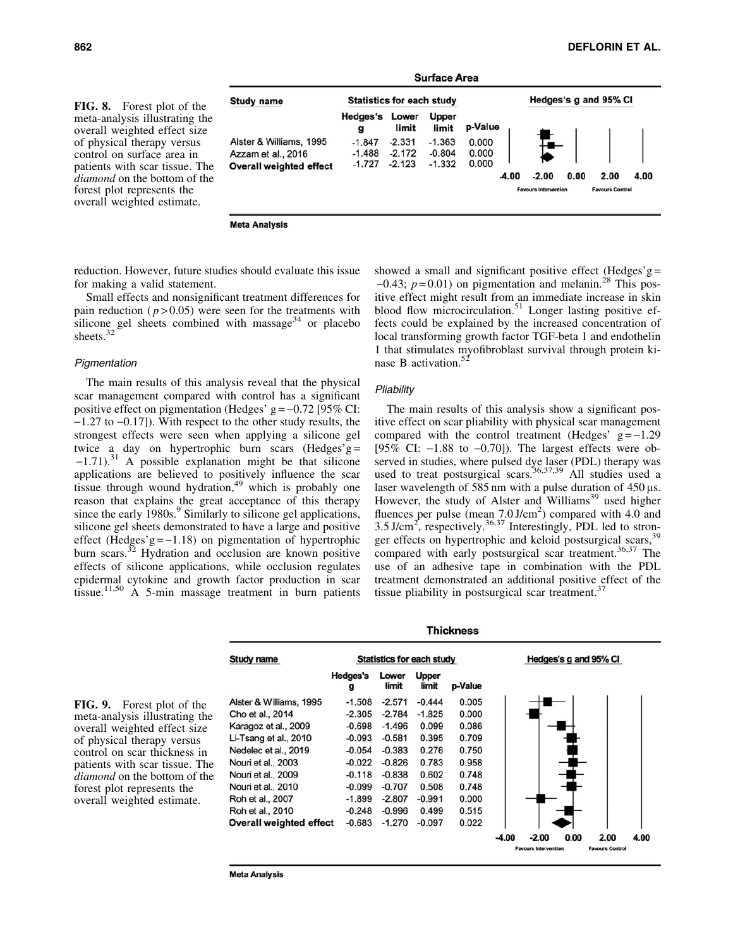FIG. 8. Forest plot of the meta-analysis illustrating the overall weighted effect size of physical therapy versus control on surface area in patients with scar tissue. The *diamond* on the bottom of the forest plot represents the overall weighted estimate.

**Surface Area** Hedges's g and 95% CI **Statistics for each study Study name Hedges's Lower** Upper p-Value limit limit g Alster & Williams, 1995  $-1.847$  $-2.331$  $-1.363$ 0.000 0.000  $-1.488$  $-2.172$  $-0.804$ Azzam et al., 2016  $-1.727 -2.123$  $-1.332$ 0.000 **Overall weighted effect**  $-2.00$  $0.00$ 2.00 4.00 -4.00

**Meta Analysis** 

reduction. However, future studies should evaluate this issue for making a valid statement.

Small effects and nonsignificant treatment differences for pain reduction  $(p > 0.05)$  were seen for the treatments with silicone gel sheets combined with massage $34$  or placebo sheets.<sup>3</sup>

#### **Pigmentation**

The main results of this analysis reveal that the physical scar management compared with control has a significant positive effect on pigmentation (Hedges'  $g = -0.72$  [95% CI:  $-1.27$  to  $-0.17$ ]). With respect to the other study results, the strongest effects were seen when applying a silicone gel twice a day on hypertrophic burn scars (Hedges'g =  $-1.71$ ).<sup>31</sup> A possible explanation might be that silicone applications are believed to positively influence the scar tissue through wound hydration,<sup>49</sup> which is probably one reason that explains the great acceptance of this therapy since the early 1980s.<sup>9</sup> Similarly to silicone gel applications, silicone gel sheets demonstrated to have a large and positive effect (Hedges'g= $-1.18$ ) on pigmentation of hypertrophic burn scars.<sup>32</sup> Hydration and occlusion are known positive effects of silicone applications, while occlusion regulates epidermal cytokine and growth factor production in scar tissue.<sup>11,50</sup> A 5-min massage treatment in burn patients showed a small and significant positive effect (Hedges'g  $=$  $-0.43$ ;  $p = 0.01$ ) on pigmentation and melanin.<sup>28</sup> This positive effect might result from an immediate increase in skin blood flow microcirculation.<sup>51</sup> Longer lasting positive effects could be explained by the increased concentration of local transforming growth factor TGF-beta 1 and endothelin 1 that stimulates myofibroblast survival through protein kinase B activation.<sup>52</sup>

# **Pliability**

The main results of this analysis show a significant positive effect on scar pliability with physical scar management compared with the control treatment (Hedges'  $g = -1.29$ [95% CI:  $-1.88$  to  $-0.70$ ]). The largest effects were observed in studies, where pulsed dye laser (PDL) therapy was used to treat postsurgical scars.<sup>36,37,39</sup> All studies used a laser wavelength of 585 nm with a pulse duration of  $450 \,\mu s$ . However, the study of Alster and Williams<sup>39</sup> used higher fluences per pulse (mean  $7.0 \text{ J/cm}^2$ ) compared with 4.0 and 3.5 J/cm<sup>2</sup>, respectively.<sup>36,37</sup> Interestingly, PDL led to stronger effects on hypertrophic and keloid postsurgical scars,<sup>39</sup> compared with early postsurgical scar treatment.<sup>36,37</sup> The use of an adhesive tape in combination with the PDL treatment demonstrated an additional positive effect of the tissue pliability in postsurgical scar treatment. $37$ 

FIG. 9. Forest plot of the meta-analysis illustrating the overall weighted effect size of physical therapy versus control on scar thickness in patients with scar tissue. The *diamond* on the bottom of the forest plot represents the overall weighted estimate.



**Thickness** 

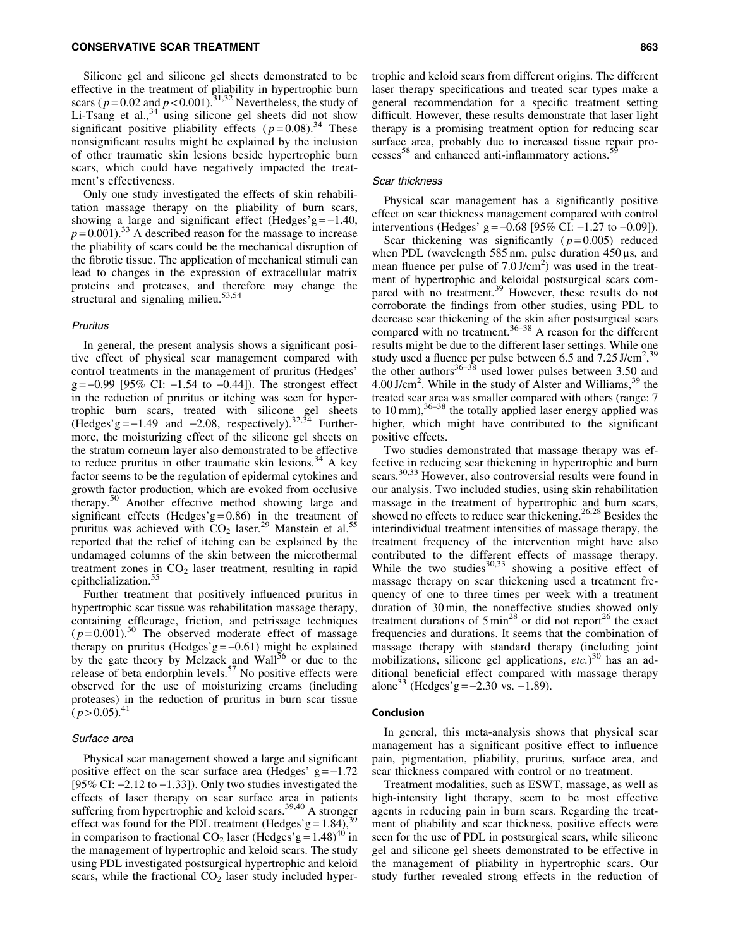Silicone gel and silicone gel sheets demonstrated to be effective in the treatment of pliability in hypertrophic burn scars ( $p = 0.02$  and  $p < 0.001$ ).<sup>31,32</sup> Nevertheless, the study of Li-Tsang et al.,  $34 \text{ using }$  silicone gel sheets did not show significant positive pliability effects  $(p=0.08)^{34}$  These nonsignificant results might be explained by the inclusion of other traumatic skin lesions beside hypertrophic burn scars, which could have negatively impacted the treatment's effectiveness.

Only one study investigated the effects of skin rehabilitation massage therapy on the pliability of burn scars, showing a large and significant effect (Hedges'g= $-1.40$ ,  $p=0.001$ ).<sup>33</sup> A described reason for the massage to increase the pliability of scars could be the mechanical disruption of the fibrotic tissue. The application of mechanical stimuli can lead to changes in the expression of extracellular matrix proteins and proteases, and therefore may change the structural and signaling milieu. $53,54$ 

# Pruritus

In general, the present analysis shows a significant positive effect of physical scar management compared with control treatments in the management of pruritus (Hedges'  $g = -0.99$  [95% CI:  $-1.54$  to  $-0.44$ ]). The strongest effect in the reduction of pruritus or itching was seen for hypertrophic burn scars, treated with silicone gel sheets (Hedges'  $g = -1.49$  and  $-2.08$ , respectively).<sup>32,34</sup> Furthermore, the moisturizing effect of the silicone gel sheets on the stratum corneum layer also demonstrated to be effective to reduce pruritus in other traumatic skin lesions.<sup>34</sup> A key factor seems to be the regulation of epidermal cytokines and growth factor production, which are evoked from occlusive therapy.<sup>50</sup> Another effective method showing large and significant effects (Hedges'g= $0.86$ ) in the treatment of pruritus was achieved with  $CO<sub>2</sub>$  laser.<sup>29</sup> Manstein et al.<sup>55</sup> reported that the relief of itching can be explained by the undamaged columns of the skin between the microthermal treatment zones in  $CO<sub>2</sub>$  laser treatment, resulting in rapid epithelialization.<sup>55</sup>

Further treatment that positively influenced pruritus in hypertrophic scar tissue was rehabilitation massage therapy, containing effleurage, friction, and petrissage techniques  $(p=0.001)$ .<sup>30</sup> The observed moderate effect of massage therapy on pruritus (Hedges'g =  $-0.61$ ) might be explained by the gate theory by Melzack and Wall<sup>56</sup> or due to the release of beta endorphin levels.<sup>57</sup> No positive effects were observed for the use of moisturizing creams (including proteases) in the reduction of pruritus in burn scar tissue  $(p > 0.05)^{41}$ 

#### Surface area

Physical scar management showed a large and significant positive effect on the scar surface area (Hedges'  $g = -1.72$ [95% CI:  $-2.12$  to  $-1.33$ ]). Only two studies investigated the effects of laser therapy on scar surface area in patients suffering from hypertrophic and keloid scars.<sup>39,40</sup> A stronger effect was found for the PDL treatment (Hedges'g =  $1.84$ ),<sup>3</sup> in comparison to fractional CO<sub>2</sub> laser (Hedges'g =  $1.48$ )<sup>40</sup> in the management of hypertrophic and keloid scars. The study using PDL investigated postsurgical hypertrophic and keloid scars, while the fractional  $CO<sub>2</sub>$  laser study included hypertrophic and keloid scars from different origins. The different laser therapy specifications and treated scar types make a general recommendation for a specific treatment setting difficult. However, these results demonstrate that laser light therapy is a promising treatment option for reducing scar surface area, probably due to increased tissue repair processes<sup>58</sup> and enhanced anti-inflammatory actions.<sup>5</sup>

#### Scar thickness

Physical scar management has a significantly positive effect on scar thickness management compared with control interventions (Hedges' g =  $-0.68$  [95% CI:  $-1.27$  to  $-0.09$ ]).

Scar thickening was significantly  $(p=0.005)$  reduced when PDL (wavelength 585 nm, pulse duration  $450 \,\mu s$ , and mean fluence per pulse of 7.0 J/cm<sup>2</sup>) was used in the treatment of hypertrophic and keloidal postsurgical scars compared with no treatment.<sup>39</sup> However, these results do not corroborate the findings from other studies, using PDL to decrease scar thickening of the skin after postsurgical scars compared with no treatment.<sup>36–38</sup> A reason for the different results might be due to the different laser settings. While one study used a fluence per pulse between 6.5 and  $7.25 \text{ J/cm}^2$ ,  $39$ the other authors $36-38$  used lower pulses between 3.50 and  $4.00$  J/cm<sup>2</sup>. While in the study of Alster and Williams,  $39$  the treated scar area was smaller compared with others (range: 7 to 10 mm),<sup>36–38</sup> the totally applied laser energy applied was higher, which might have contributed to the significant positive effects.

Two studies demonstrated that massage therapy was effective in reducing scar thickening in hypertrophic and burn scars.30,33 However, also controversial results were found in our analysis. Two included studies, using skin rehabilitation massage in the treatment of hypertrophic and burn scars, showed no effects to reduce scar thickening.<sup>26,28</sup> Besides the interindividual treatment intensities of massage therapy, the treatment frequency of the intervention might have also contributed to the different effects of massage therapy. While the two studies $30,33$  showing a positive effect of massage therapy on scar thickening used a treatment frequency of one to three times per week with a treatment duration of 30 min, the noneffective studies showed only treatment durations of  $5 \text{ min}^{28}$  or did not report<sup>26</sup> the exact frequencies and durations. It seems that the combination of massage therapy with standard therapy (including joint mobilizations, silicone gel applications, *etc.*) <sup>30</sup> has an additional beneficial effect compared with massage therapy alone<sup>33</sup> (Hedges'g =  $-2.30$  vs.  $-1.89$ ).

#### Conclusion

In general, this meta-analysis shows that physical scar management has a significant positive effect to influence pain, pigmentation, pliability, pruritus, surface area, and scar thickness compared with control or no treatment.

Treatment modalities, such as ESWT, massage, as well as high-intensity light therapy, seem to be most effective agents in reducing pain in burn scars. Regarding the treatment of pliability and scar thickness, positive effects were seen for the use of PDL in postsurgical scars, while silicone gel and silicone gel sheets demonstrated to be effective in the management of pliability in hypertrophic scars. Our study further revealed strong effects in the reduction of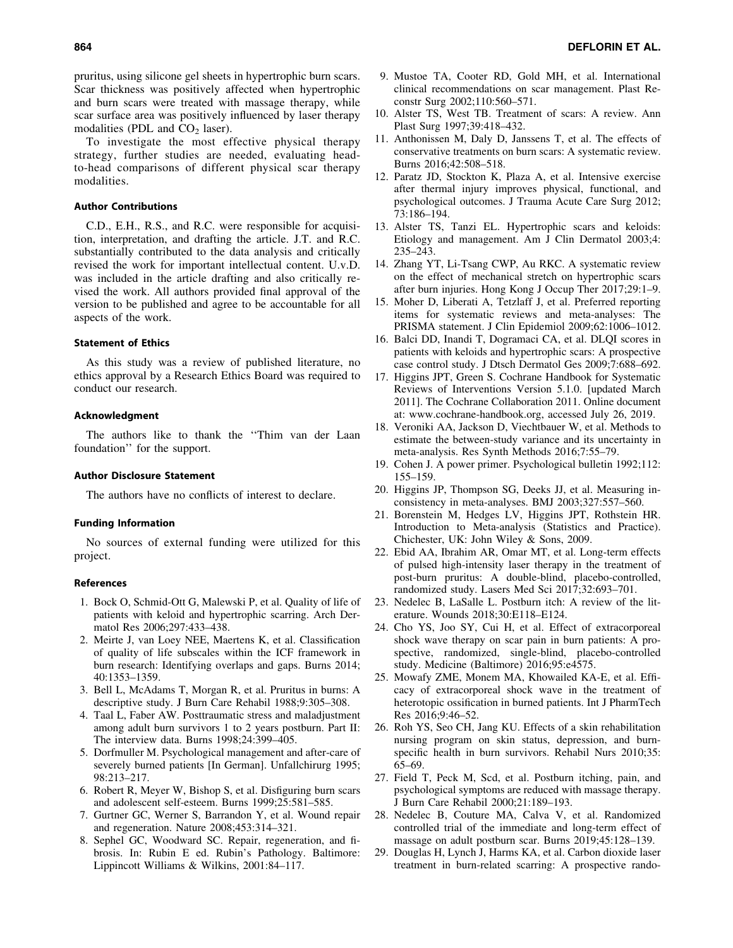pruritus, using silicone gel sheets in hypertrophic burn scars. Scar thickness was positively affected when hypertrophic and burn scars were treated with massage therapy, while scar surface area was positively influenced by laser therapy modalities (PDL and  $CO<sub>2</sub>$  laser).

To investigate the most effective physical therapy strategy, further studies are needed, evaluating headto-head comparisons of different physical scar therapy modalities.

# Author Contributions

C.D., E.H., R.S., and R.C. were responsible for acquisition, interpretation, and drafting the article. J.T. and R.C. substantially contributed to the data analysis and critically revised the work for important intellectual content. U.v.D. was included in the article drafting and also critically revised the work. All authors provided final approval of the version to be published and agree to be accountable for all aspects of the work.

#### Statement of Ethics

As this study was a review of published literature, no ethics approval by a Research Ethics Board was required to conduct our research.

#### Acknowledgment

The authors like to thank the ''Thim van der Laan foundation'' for the support.

#### Author Disclosure Statement

The authors have no conflicts of interest to declare.

#### Funding Information

No sources of external funding were utilized for this project.

### References

- 1. Bock O, Schmid-Ott G, Malewski P, et al. Quality of life of patients with keloid and hypertrophic scarring. Arch Dermatol Res 2006;297:433–438.
- 2. Meirte J, van Loey NEE, Maertens K, et al. Classification of quality of life subscales within the ICF framework in burn research: Identifying overlaps and gaps. Burns 2014; 40:1353–1359.
- 3. Bell L, McAdams T, Morgan R, et al. Pruritus in burns: A descriptive study. J Burn Care Rehabil 1988;9:305–308.
- 4. Taal L, Faber AW. Posttraumatic stress and maladjustment among adult burn survivors 1 to 2 years postburn. Part II: The interview data. Burns 1998;24:399–405.
- 5. Dorfmuller M. Psychological management and after-care of severely burned patients [In German]. Unfallchirurg 1995; 98:213–217.
- 6. Robert R, Meyer W, Bishop S, et al. Disfiguring burn scars and adolescent self-esteem. Burns 1999;25:581–585.
- 7. Gurtner GC, Werner S, Barrandon Y, et al. Wound repair and regeneration. Nature 2008;453:314–321.
- 8. Sephel GC, Woodward SC. Repair, regeneration, and fibrosis. In: Rubin E ed. Rubin's Pathology. Baltimore: Lippincott Williams & Wilkins, 2001:84–117.
- 9. Mustoe TA, Cooter RD, Gold MH, et al. International clinical recommendations on scar management. Plast Reconstr Surg 2002;110:560–571.
- 10. Alster TS, West TB. Treatment of scars: A review. Ann Plast Surg 1997;39:418–432.
- 11. Anthonissen M, Daly D, Janssens T, et al. The effects of conservative treatments on burn scars: A systematic review. Burns 2016;42:508–518.
- 12. Paratz JD, Stockton K, Plaza A, et al. Intensive exercise after thermal injury improves physical, functional, and psychological outcomes. J Trauma Acute Care Surg 2012; 73:186–194.
- 13. Alster TS, Tanzi EL. Hypertrophic scars and keloids: Etiology and management. Am J Clin Dermatol 2003;4: 235–243.
- 14. Zhang YT, Li-Tsang CWP, Au RKC. A systematic review on the effect of mechanical stretch on hypertrophic scars after burn injuries. Hong Kong J Occup Ther 2017;29:1–9.
- 15. Moher D, Liberati A, Tetzlaff J, et al. Preferred reporting items for systematic reviews and meta-analyses: The PRISMA statement. J Clin Epidemiol 2009;62:1006–1012.
- 16. Balci DD, Inandi T, Dogramaci CA, et al. DLQI scores in patients with keloids and hypertrophic scars: A prospective case control study. J Dtsch Dermatol Ges 2009;7:688–692.
- 17. Higgins JPT, Green S. Cochrane Handbook for Systematic Reviews of Interventions Version 5.1.0. [updated March 2011]. The Cochrane Collaboration 2011. Online document at: [www.cochrane-handbook.org](http://www.cochrane-handbook.org), accessed July 26, 2019.
- 18. Veroniki AA, Jackson D, Viechtbauer W, et al. Methods to estimate the between-study variance and its uncertainty in meta-analysis. Res Synth Methods 2016;7:55–79.
- 19. Cohen J. A power primer. Psychological bulletin 1992;112: 155–159.
- 20. Higgins JP, Thompson SG, Deeks JJ, et al. Measuring inconsistency in meta-analyses. BMJ 2003;327:557–560.
- 21. Borenstein M, Hedges LV, Higgins JPT, Rothstein HR. Introduction to Meta-analysis (Statistics and Practice). Chichester, UK: John Wiley & Sons, 2009.
- 22. Ebid AA, Ibrahim AR, Omar MT, et al. Long-term effects of pulsed high-intensity laser therapy in the treatment of post-burn pruritus: A double-blind, placebo-controlled, randomized study. Lasers Med Sci 2017;32:693–701.
- 23. Nedelec B, LaSalle L. Postburn itch: A review of the literature. Wounds 2018;30:E118–E124.
- 24. Cho YS, Joo SY, Cui H, et al. Effect of extracorporeal shock wave therapy on scar pain in burn patients: A prospective, randomized, single-blind, placebo-controlled study. Medicine (Baltimore) 2016;95:e4575.
- 25. Mowafy ZME, Monem MA, Khowailed KA-E, et al. Efficacy of extracorporeal shock wave in the treatment of heterotopic ossification in burned patients. Int J PharmTech Res 2016;9:46–52.
- 26. Roh YS, Seo CH, Jang KU. Effects of a skin rehabilitation nursing program on skin status, depression, and burnspecific health in burn survivors. Rehabil Nurs 2010;35: 65–69.
- 27. Field T, Peck M, Scd, et al. Postburn itching, pain, and psychological symptoms are reduced with massage therapy. J Burn Care Rehabil 2000;21:189–193.
- 28. Nedelec B, Couture MA, Calva V, et al. Randomized controlled trial of the immediate and long-term effect of massage on adult postburn scar. Burns 2019;45:128–139.
- 29. Douglas H, Lynch J, Harms KA, et al. Carbon dioxide laser treatment in burn-related scarring: A prospective rando-